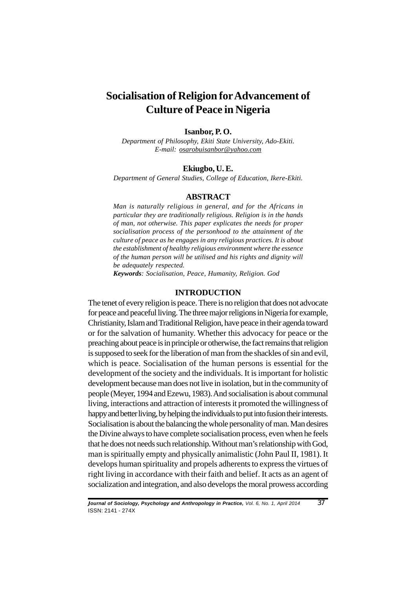# **Socialisation of Religion for Advancement of Culture of Peace in Nigeria**

#### **Isanbor, P. O.**

*Department of Philosophy, Ekiti State University, Ado-Ekiti. E-mail: osarobuisanbor@yahoo.com*

#### **Ekiugbo, U. E.**

*Department of General Studies, College of Education, Ikere-Ekiti.*

#### **ABSTRACT**

*Man is naturally religious in general, and for the Africans in particular they are traditionally religious. Religion is in the hands of man, not otherwise. This paper explicates the needs for proper socialisation process of the personhood to the attainment of the culture of peace as he engages in any religious practices. It is about the establishment of healthy religious environment where the essence of the human person will be utilised and his rights and dignity will be adequately respected.*

*Keywords: Socialisation, Peace, Humanity, Religion. God*

#### **INTRODUCTION**

The tenet of every religion is peace. There is no religion that does not advocate for peace and peaceful living. The three major religions in Nigeria for example, Christianity, Islam and Traditional Religion, have peace in their agenda toward or for the salvation of humanity. Whether this advocacy for peace or the preaching about peace is in principle or otherwise, the fact remains that religion is supposed to seek for the liberation of man from the shackles of sin and evil, which is peace. Socialisation of the human persons is essential for the development of the society and the individuals. It is important for holistic development because man does not live in isolation, but in the community of people (Meyer, 1994 and Ezewu, 1983). And socialisation is about communal living, interactions and attraction of interests it promoted the willingness of happy and better living, by helping the individuals to put into fusion their interests. Socialisation is about the balancing the whole personality of man. Man desires the Divine always to have complete socialisation process, even when he feels that he does not needs such relationship. Without man's relationship with God, man is spiritually empty and physically animalistic (John Paul II, 1981). It develops human spirituality and propels adherents to express the virtues of right living in accordance with their faith and belief. It acts as an agent of socialization and integration, and also develops the moral prowess according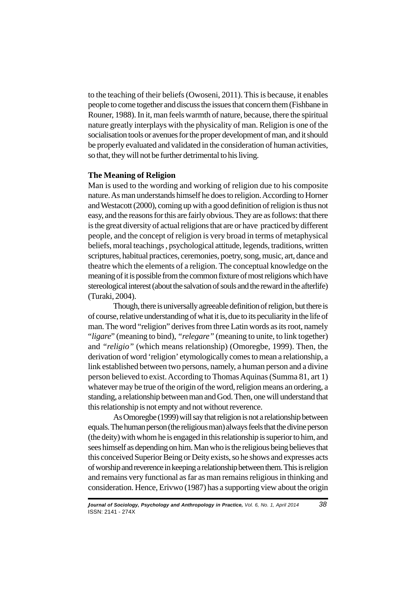to the teaching of their beliefs (Owoseni, 2011). This is because, it enables people to come together and discuss the issues that concern them (Fishbane in Rouner, 1988). In it, man feels warmth of nature, because, there the spiritual nature greatly interplays with the physicality of man. Religion is one of the socialisation tools or avenues for the proper development of man, and it should be properly evaluated and validated in the consideration of human activities, so that, they will not be further detrimental to his living.

# **The Meaning of Religion**

Man is used to the wording and working of religion due to his composite nature. As man understands himself he does to religion. According to Horner and Westacott (2000), coming up with a good definition of religion is thus not easy, and the reasons for this are fairly obvious. They are as follows: that there is the great diversity of actual religions that are or have practiced by different people, and the concept of religion is very broad in terms of metaphysical beliefs, moral teachings , psychological attitude, legends, traditions, written scriptures, habitual practices, ceremonies, poetry, song, music, art, dance and theatre which the elements of a religion. The conceptual knowledge on the meaning of it is possible from the common fixture of most religions which have stereological interest (about the salvation of souls and the reward in the afterlife) (Turaki, 2004).

Though, there is universally agreeable definition of religion, but there is of course, relative understanding of what it is, due to its peculiarity in the life of man. The word "religion" derives from three Latin words as its root, namely "*ligare*" (meaning to bind), *"relegare"* (meaning to unite, to link together) and *"religio"* (which means relationship) (Omoregbe, 1999). Then, the derivation of word 'religion' etymologically comes to mean a relationship, a link established between two persons, namely, a human person and a divine person believed to exist. According to Thomas Aquinas (Summa 81, art 1) whatever may be true of the origin of the word, religion means an ordering, a standing, a relationship between man and God. Then, one will understand that this relationship is not empty and not without reverence.

As Omoregbe (1999) will say that religion is not a relationship between equals. The human person (the religious man) always feels that the divine person (the deity) with whom he is engaged in this relationship is superior to him, and sees himself as depending on him. Man who is the religious being believes that this conceived Superior Being or Deity exists, so he shows and expresses acts of worship and reverence in keeping a relationship between them. This is religion and remains very functional as far as man remains religious in thinking and consideration. Hence, Erivwo (1987) has a supporting view about the origin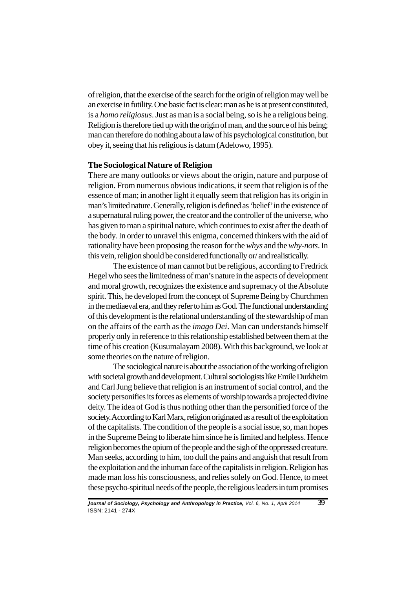of religion, that the exercise of the search for the origin of religion may well be an exercise in futility. One basic fact is clear: man as he is at present constituted, is a *homo religiosus*. Just as man is a social being, so is he a religious being. Religion is therefore tied up with the origin of man, and the source of his being; man can therefore do nothing about a law of his psychological constitution, but obey it, seeing that his religious is datum (Adelowo, 1995).

### **The Sociological Nature of Religion**

There are many outlooks or views about the origin, nature and purpose of religion. From numerous obvious indications, it seem that religion is of the essence of man; in another light it equally seem that religion has its origin in man's limited nature. Generally, religion is defined as 'belief' in the existence of a supernatural ruling power, the creator and the controller of the universe, who has given to man a spiritual nature, which continues to exist after the death of the body. In order to unravel this enigma, concerned thinkers with the aid of rationality have been proposing the reason for the *whys* and the *why-nots*. In this vein, religion should be considered functionally or/ and realistically.

The existence of man cannot but be religious, according to Fredrick Hegel who sees the limitedness of man's nature in the aspects of development and moral growth, recognizes the existence and supremacy of the Absolute spirit. This, he developed from the concept of Supreme Being by Churchmen in the mediaeval era, and they refer to him as God. The functional understanding of this development is the relational understanding of the stewardship of man on the affairs of the earth as the *imago Dei*. Man can understands himself properly only in reference to this relationship established between them at the time of his creation (Kusumalayam 2008). With this background, we look at some theories on the nature of religion.

The sociological nature is about the association of the working of religion with societal growth and development. Cultural sociologists like Emile Durkheim and Carl Jung believe that religion is an instrument of social control, and the society personifies its forces as elements of worship towards a projected divine deity. The idea of God is thus nothing other than the personified force of the society. According to Karl Marx, religion originated as a result of the exploitation of the capitalists. The condition of the people is a social issue, so, man hopes in the Supreme Being to liberate him since he is limited and helpless. Hence religion becomes the opium of the people and the sigh of the oppressed creature. Man seeks, according to him, too dull the pains and anguish that result from the exploitation and the inhuman face of the capitalists in religion. Religion has made man loss his consciousness, and relies solely on God. Hence, to meet these psycho-spiritual needs of the people, the religious leaders in turn promises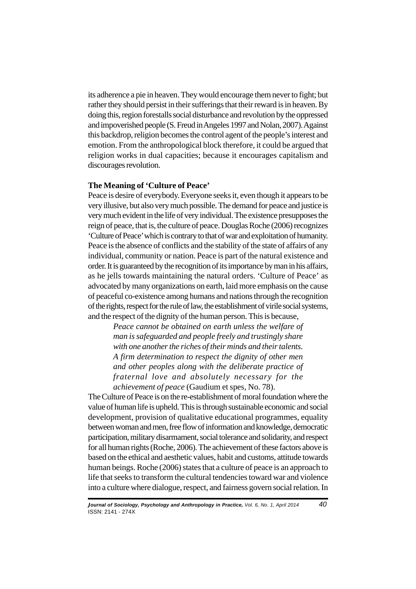its adherence a pie in heaven. They would encourage them never to fight; but rather they should persist in their sufferings that their reward is in heaven. By doing this, region forestalls social disturbance and revolution by the oppressed and impoverished people (S. Freud in Angeles 1997 and Nolan, 2007). Against this backdrop, religion becomes the control agent of the people's interest and emotion. From the anthropological block therefore, it could be argued that religion works in dual capacities; because it encourages capitalism and discourages revolution.

## **The Meaning of 'Culture of Peace'**

Peace is desire of everybody. Everyone seeks it, even though it appears to be very illusive, but also very much possible. The demand for peace and justice is very much evident in the life of very individual. The existence presupposes the reign of peace, that is, the culture of peace. Douglas Roche (2006) recognizes 'Culture of Peace' which is contrary to that of war and exploitation of humanity. Peace is the absence of conflicts and the stability of the state of affairs of any individual, community or nation. Peace is part of the natural existence and order. It is guaranteed by the recognition of its importance by man in his affairs, as he jells towards maintaining the natural orders. 'Culture of Peace' as advocated by many organizations on earth, laid more emphasis on the cause of peaceful co-existence among humans and nations through the recognition of the rights, respect for the rule of law, the establishment of virile social systems, and the respect of the dignity of the human person. This is because,

> *Peace cannot be obtained on earth unless the welfare of man is safeguarded and people freely and trustingly share with one another the riches of their minds and their talents. A firm determination to respect the dignity of other men and other peoples along with the deliberate practice of fraternal love and absolutely necessary for the achievement of peace* (Gaudium et spes, No. 78).

The Culture of Peace is on the re-establishment of moral foundation where the value of human life is upheld. This is through sustainable economic and social development, provision of qualitative educational programmes, equality between woman and men, free flow of information and knowledge, democratic participation, military disarmament, social tolerance and solidarity, and respect for all human rights (Roche, 2006). The achievement of these factors above is based on the ethical and aesthetic values, habit and customs, attitude towards human beings. Roche (2006) states that a culture of peace is an approach to life that seeks to transform the cultural tendencies toward war and violence into a culture where dialogue, respect, and fairness govern social relation. In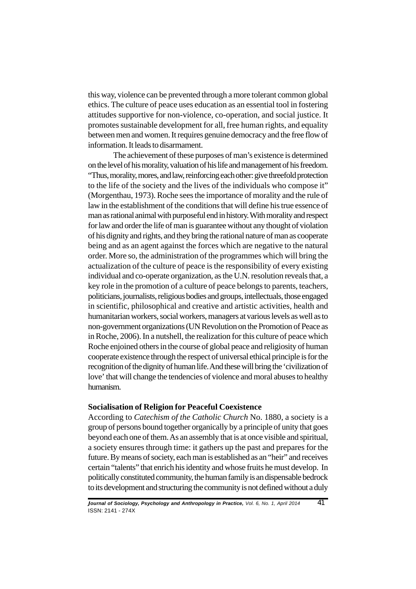this way, violence can be prevented through a more tolerant common global ethics. The culture of peace uses education as an essential tool in fostering attitudes supportive for non-violence, co-operation, and social justice. It promotes sustainable development for all, free human rights, and equality between men and women. It requires genuine democracy and the free flow of information. It leads to disarmament.

The achievement of these purposes of man's existence is determined on the level of his morality, valuation of his life and management of his freedom. "Thus, morality, mores, and law, reinforcing each other: give threefold protection to the life of the society and the lives of the individuals who compose it" (Morgenthau, 1973). Roche sees the importance of morality and the rule of law in the establishment of the conditions that will define his true essence of man as rational animal with purposeful end in history. With morality and respect for law and order the life of man is guarantee without any thought of violation of his dignity and rights, and they bring the rational nature of man as cooperate being and as an agent against the forces which are negative to the natural order. More so, the administration of the programmes which will bring the actualization of the culture of peace is the responsibility of every existing individual and co-operate organization, as the U.N. resolution reveals that, a key role in the promotion of a culture of peace belongs to parents, teachers, politicians, journalists, religious bodies and groups, intellectuals, those engaged in scientific, philosophical and creative and artistic activities, health and humanitarian workers, social workers, managers at various levels as well as to non-government organizations (UN Revolution on the Promotion of Peace as in Roche, 2006). In a nutshell, the realization for this culture of peace which Roche enjoined others in the course of global peace and religiosity of human cooperate existence through the respect of universal ethical principle is for the recognition of the dignity of human life. And these will bring the 'civilization of love' that will change the tendencies of violence and moral abuses to healthy humanism.

## **Socialisation of Religion for Peaceful Coexistence**

According to *Catechism of the Catholic Church* No. 1880, a society is a group of persons bound together organically by a principle of unity that goes beyond each one of them. As an assembly that is at once visible and spiritual, a society ensures through time: it gathers up the past and prepares for the future. By means of society, each man is established as an "heir" and receives certain "talents" that enrich his identity and whose fruits he must develop. In politically constituted community, the human family is an dispensable bedrock to its development and structuring the community is not defined without a duly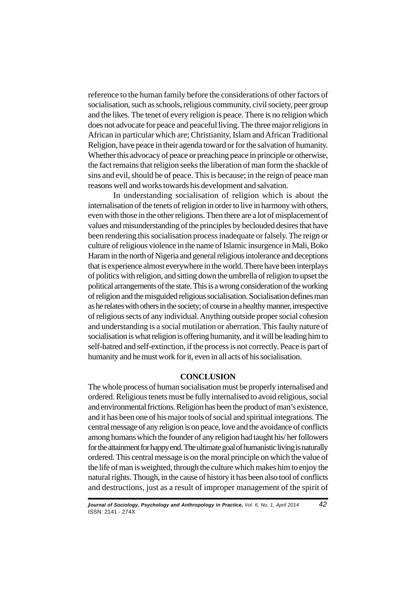reference to the human family before the considerations of other factors of socialisation, such as schools, religious community, civil society, peer group and the likes. The tenet of every religion is peace. There is no religion which does not advocate for peace and peaceful living. The three major religions in African in particular which are; Christianity, Islam and African Traditional Religion, have peace in their agenda toward or for the salvation of humanity. Whether this advocacy of peace or preaching peace in principle or otherwise, the fact remains that religion seeks the liberation of man form the shackle of sins and evil, should be of peace. This is because; in the reign of peace man reasons well and works towards his development and salvation.

In understanding socialisation of religion which is about the internalisation of the tenets of religion in order to live in harmony with others, even with those in the other religions. Then there are a lot of misplacement of values and misunderstanding of the principles by beclouded desires that have been rendering this socialisation process inadequate or falsely. The reign or culture of religious violence in the name of Islamic insurgence in Mali, Boko Haram in the north of Nigeria and general religious intolerance and deceptions that is experience almost everywhere in the world. There have been interplays of politics with religion, and sitting down the umbrella of religion to upset the political arrangements of the state. This is a wrong consideration of the working of religion and the misguided religious socialisation. Socialisation defines man as he relates with others in the society; of course in a healthy manner, irrespective of religious sects of any individual. Anything outside proper social cohesion and understanding is a social mutilation or aberration. This faulty nature of socialisation is what religion is offering humanity, and it will be leading him to self-hatred and self-extinction, if the process is not correctly. Peace is part of humanity and he must work for it, even in all acts of his socialisation.

# **CONCLUSION**

The whole process of human socialisation must be properly internalised and ordered. Religious tenets must be fully internalised to avoid religious, social and environmental frictions. Religion has been the product of man's existence, and it has been one of his major tools of social and spiritual integrations. The central message of any religion is on peace, love and the avoidance of conflicts among humans which the founder of any religion had taught his/ her followers for the attainment for happy end. The ultimate goal of humanistic living is naturally ordered. This central message is on the moral principle on which the value of the life of man is weighted, through the culture which makes him to enjoy the natural rights. Though, in the cause of history it has been also tool of conflicts and destructions, just as a result of improper management of the spirit of